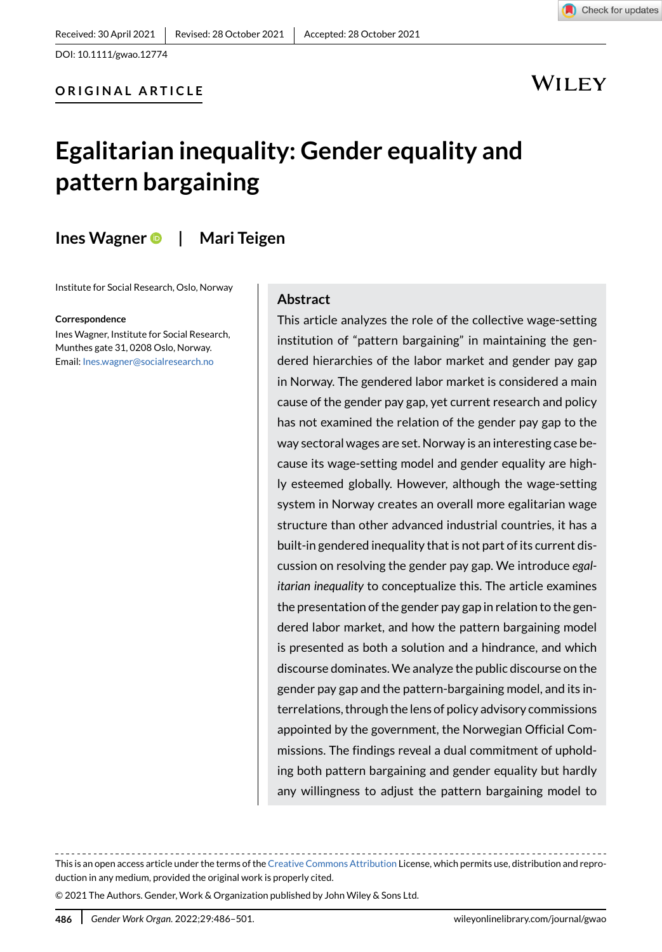## WILEY

# **Egalitarian inequality: Gender equality and pattern bargaining**

**Ines Wagner| Mari Teigen**

Institute for Social Research, Oslo, Norway

**Correspondence**

Ines Wagner, Institute for Social Research, Munthes gate 31, 0208 Oslo, Norway. Email: Ines.wagner@socialresearch.no

#### **Abstract**

This article analyzes the role of the collective wage-setting institution of "pattern bargaining" in maintaining the gendered hierarchies of the labor market and gender pay gap in Norway. The gendered labor market is considered a main cause of the gender pay gap, yet current research and policy has not examined the relation of the gender pay gap to the way sectoral wages are set. Norway is an interesting case because its wage-setting model and gender equality are highly esteemed globally. However, although the wage-setting system in Norway creates an overall more egalitarian wage structure than other advanced industrial countries, it has a built-in gendered inequality that is not part of its current discussion on resolving the gender pay gap. We introduce *egalitarian inequality* to conceptualize this. The article examines the presentation of the gender pay gap in relation to the gendered labor market, and how the pattern bargaining model is presented as both a solution and a hindrance, and which discourse dominates. We analyze the public discourse on the gender pay gap and the pattern-bargaining model, and its interrelations, through the lens of policy advisory commissions appointed by the government, the Norwegian Official Commissions. The findings reveal a dual commitment of upholding both pattern bargaining and gender equality but hardly any willingness to adjust the pattern bargaining model to

This is an open access article under the terms of the [Creative Commons Attribution](http://creativecommons.org/licenses/by/4.0/) License, which permits use, distribution and reproduction in any medium, provided the original work is properly cited.

© 2021 The Authors. Gender, Work & Organization published by John Wiley & Sons Ltd.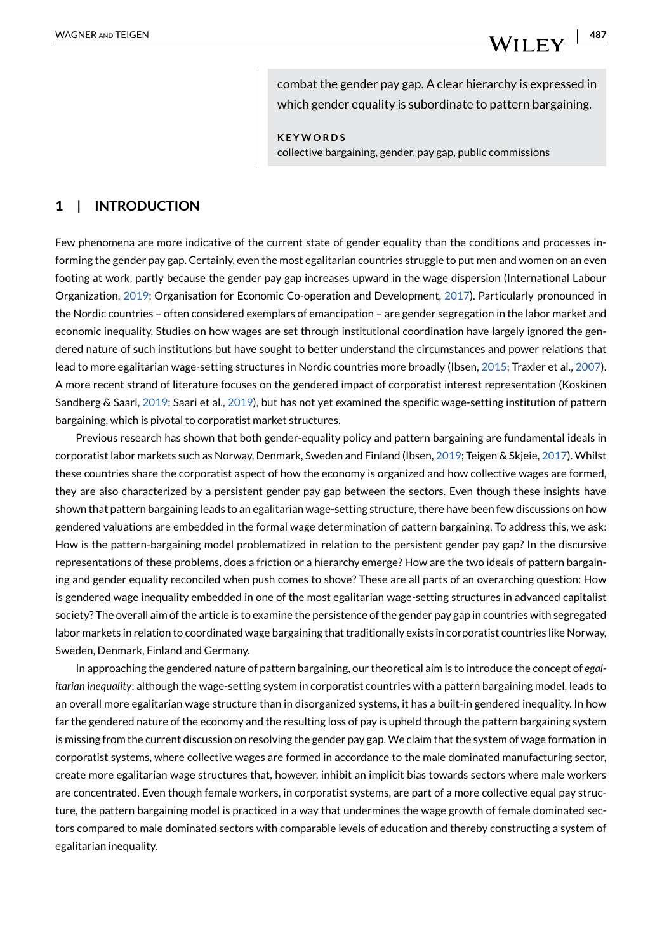combat the gender pay gap. A clear hierarchy is expressed in which gender equality is subordinate to pattern bargaining.

**KEYWORDS** collective bargaining, gender, pay gap, public commissions

### **1 | INTRODUCTION**

Few phenomena are more indicative of the current state of gender equality than the conditions and processes informing the gender pay gap. Certainly, even the most egalitarian countries struggle to put men and women on an even footing at work, partly because the gender pay gap increases upward in the wage dispersion (International Labour Organization, [2019;](#page-14-0) Organisation for Economic Co-operation and Development, [2017](#page-14-1)). Particularly pronounced in the Nordic countries – often considered exemplars of emancipation – are gender segregation in the labor market and economic inequality. Studies on how wages are set through institutional coordination have largely ignored the gendered nature of such institutions but have sought to better understand the circumstances and power relations that lead to more egalitarian wage-setting structures in Nordic countries more broadly (Ibsen, [2015](#page-14-2); Traxler et al., [2007](#page-14-3)). A more recent strand of literature focuses on the gendered impact of corporatist interest representation (Koskinen Sandberg & Saari, [2019;](#page-14-4) Saari et al., [2019](#page-14-5)), but has not yet examined the specific wage-setting institution of pattern bargaining, which is pivotal to corporatist market structures.

Previous research has shown that both gender-equality policy and pattern bargaining are fundamental ideals in corporatist labor markets such as Norway, Denmark, Sweden and Finland (Ibsen, [2019;](#page-14-6) Teigen & Skjeie, [2017](#page-14-7)). Whilst these countries share the corporatist aspect of how the economy is organized and how collective wages are formed, they are also characterized by a persistent gender pay gap between the sectors. Even though these insights have shown that pattern bargaining leads to an egalitarian wage-setting structure, there have been few discussions on how gendered valuations are embedded in the formal wage determination of pattern bargaining. To address this, we ask: How is the pattern-bargaining model problematized in relation to the persistent gender pay gap? In the discursive representations of these problems, does a friction or a hierarchy emerge? How are the two ideals of pattern bargaining and gender equality reconciled when push comes to shove? These are all parts of an overarching question: How is gendered wage inequality embedded in one of the most egalitarian wage-setting structures in advanced capitalist society? The overall aim of the article is to examine the persistence of the gender pay gap in countries with segregated labor markets in relation to coordinated wage bargaining that traditionally exists in corporatist countries like Norway, Sweden, Denmark, Finland and Germany.

In approaching the gendered nature of pattern bargaining, our theoretical aim is to introduce the concept of *egalitarian inequality*: although the wage-setting system in corporatist countries with a pattern bargaining model, leads to an overall more egalitarian wage structure than in disorganized systems, it has a built-in gendered inequality. In how far the gendered nature of the economy and the resulting loss of pay is upheld through the pattern bargaining system is missing from the current discussion on resolving the gender pay gap. We claim that the system of wage formation in corporatist systems, where collective wages are formed in accordance to the male dominated manufacturing sector, create more egalitarian wage structures that, however, inhibit an implicit bias towards sectors where male workers are concentrated. Even though female workers, in corporatist systems, are part of a more collective equal pay structure, the pattern bargaining model is practiced in a way that undermines the wage growth of female dominated sectors compared to male dominated sectors with comparable levels of education and thereby constructing a system of egalitarian inequality.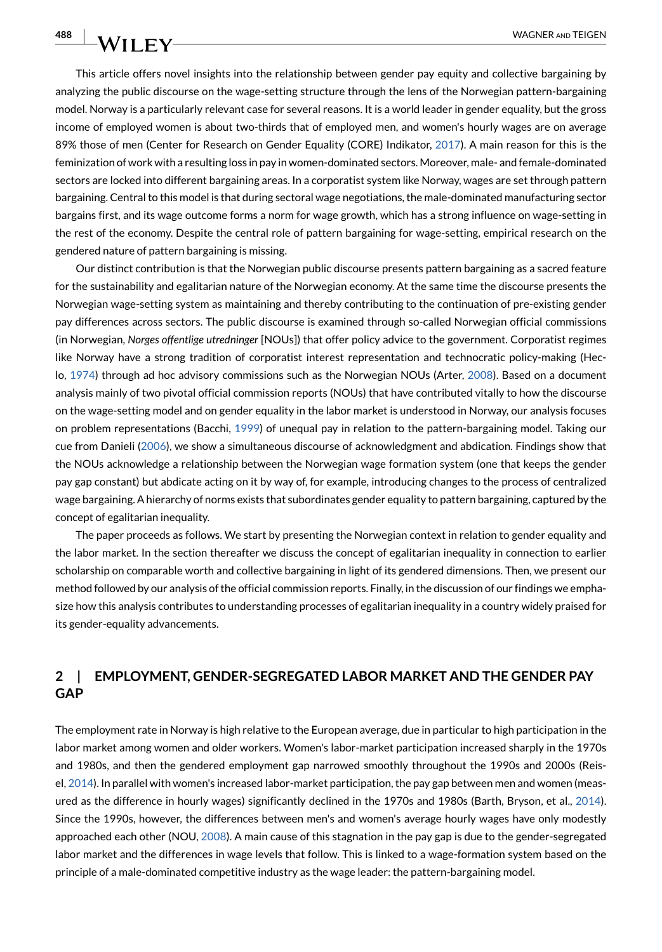This article offers novel insights into the relationship between gender pay equity and collective bargaining by analyzing the public discourse on the wage-setting structure through the lens of the Norwegian pattern-bargaining model. Norway is a particularly relevant case for several reasons. It is a world leader in gender equality, but the gross income of employed women is about two-thirds that of employed men, and women's hourly wages are on average 89% those of men (Center for Research on Gender Equality (CORE) Indikator, [2017](#page-13-0)). A main reason for this is the feminization of work with a resulting loss in pay in women-dominated sectors. Moreover, male- and female-dominated sectors are locked into different bargaining areas. In a corporatist system like Norway, wages are set through pattern bargaining. Central to this model is that during sectoral wage negotiations, the male-dominated manufacturing sector bargains first, and its wage outcome forms a norm for wage growth, which has a strong influence on wage-setting in the rest of the economy. Despite the central role of pattern bargaining for wage-setting, empirical research on the gendered nature of pattern bargaining is missing.

Our distinct contribution is that the Norwegian public discourse presents pattern bargaining as a sacred feature for the sustainability and egalitarian nature of the Norwegian economy. At the same time the discourse presents the Norwegian wage-setting system as maintaining and thereby contributing to the continuation of pre-existing gender pay differences across sectors. The public discourse is examined through so-called Norwegian official commissions (in Norwegian, *Norges offentlige utredninger* [NOUs]) that offer policy advice to the government. Corporatist regimes like Norway have a strong tradition of corporatist interest representation and technocratic policy-making (Heclo, [1974\)](#page-14-8) through ad hoc advisory commissions such as the Norwegian NOUs (Arter, [2008](#page-13-1)). Based on a document analysis mainly of two pivotal official commission reports (NOUs) that have contributed vitally to how the discourse on the wage-setting model and on gender equality in the labor market is understood in Norway, our analysis focuses on problem representations (Bacchi, [1999](#page-13-2)) of unequal pay in relation to the pattern-bargaining model. Taking our cue from Danieli [\(2006\)](#page-14-9), we show a simultaneous discourse of acknowledgment and abdication. Findings show that the NOUs acknowledge a relationship between the Norwegian wage formation system (one that keeps the gender pay gap constant) but abdicate acting on it by way of, for example, introducing changes to the process of centralized wage bargaining. A hierarchy of norms exists that subordinates gender equality to pattern bargaining, captured by the concept of egalitarian inequality.

The paper proceeds as follows. We start by presenting the Norwegian context in relation to gender equality and the labor market. In the section thereafter we discuss the concept of egalitarian inequality in connection to earlier scholarship on comparable worth and collective bargaining in light of its gendered dimensions. Then, we present our method followed by our analysis of the official commission reports. Finally, in the discussion of our findings we emphasize how this analysis contributes to understanding processes of egalitarian inequality in a country widely praised for its gender-equality advancements.

## **2 | EMPLOYMENT, GENDER-SEGREGATED LABOR MARKET AND THE GENDER PAY GAP**

The employment rate in Norway is high relative to the European average, due in particular to high participation in the labor market among women and older workers. Women's labor-market participation increased sharply in the 1970s and 1980s, and then the gendered employment gap narrowed smoothly throughout the 1990s and 2000s (Reisel, [2014](#page-14-10)). In parallel with women's increased labor-market participation, the pay gap between men and women (measured as the difference in hourly wages) significantly declined in the 1970s and 1980s (Barth, Bryson, et al., [2014](#page-13-3)). Since the 1990s, however, the differences between men's and women's average hourly wages have only modestly approached each other (NOU, [2008\)](#page-14-11). A main cause of this stagnation in the pay gap is due to the gender-segregated labor market and the differences in wage levels that follow. This is linked to a wage-formation system based on the principle of a male-dominated competitive industry as the wage leader: the pattern-bargaining model.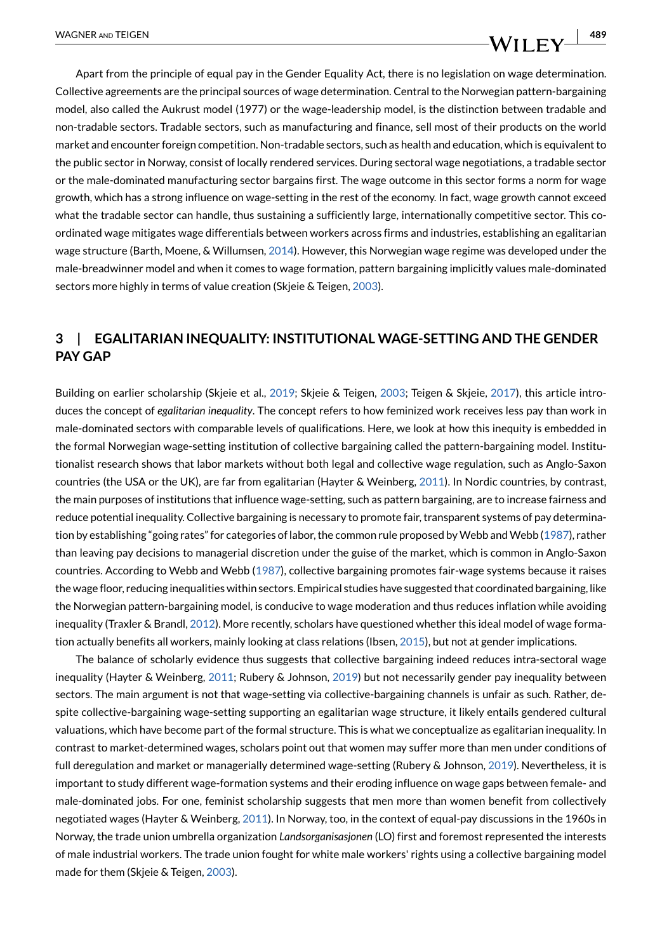Apart from the principle of equal pay in the Gender Equality Act, there is no legislation on wage determination. Collective agreements are the principal sources of wage determination. Central to the Norwegian pattern-bargaining model, also called the Aukrust model (1977) or the wage-leadership model, is the distinction between tradable and non-tradable sectors. Tradable sectors, such as manufacturing and finance, sell most of their products on the world market and encounter foreign competition. Non-tradable sectors, such as health and education, which is equivalent to the public sector in Norway, consist of locally rendered services. During sectoral wage negotiations, a tradable sector or the male-dominated manufacturing sector bargains first. The wage outcome in this sector forms a norm for wage growth, which has a strong influence on wage-setting in the rest of the economy. In fact, wage growth cannot exceed what the tradable sector can handle, thus sustaining a sufficiently large, internationally competitive sector. This coordinated wage mitigates wage differentials between workers across firms and industries, establishing an egalitarian wage structure (Barth, Moene, & Willumsen, [2014](#page-13-4)). However, this Norwegian wage regime was developed under the male-breadwinner model and when it comes to wage formation, pattern bargaining implicitly values male-dominated sectors more highly in terms of value creation (Skjeie & Teigen, [2003\)](#page-14-12).

## **3 | EGALITARIAN INEQUALITY: INSTITUTIONAL WAGE-SETTING AND THE GENDER PAY GAP**

Building on earlier scholarship (Skjeie et al., [2019;](#page-14-13) Skjeie & Teigen, [2003;](#page-14-12) Teigen & Skjeie, [2017\)](#page-14-7), this article introduces the concept of *egalitarian inequality*. The concept refers to how feminized work receives less pay than work in male-dominated sectors with comparable levels of qualifications. Here, we look at how this inequity is embedded in the formal Norwegian wage-setting institution of collective bargaining called the pattern-bargaining model. Institutionalist research shows that labor markets without both legal and collective wage regulation, such as Anglo-Saxon countries (the USA or the UK), are far from egalitarian (Hayter & Weinberg, [2011\)](#page-14-14). In Nordic countries, by contrast, the main purposes of institutions that influence wage-setting, such as pattern bargaining, are to increase fairness and reduce potential inequality. Collective bargaining is necessary to promote fair, transparent systems of pay determination by establishing "going rates" for categories of labor, the common rule proposed by Webb and Webb [\(1987\)](#page-14-15), rather than leaving pay decisions to managerial discretion under the guise of the market, which is common in Anglo-Saxon countries. According to Webb and Webb [\(1987\)](#page-14-15), collective bargaining promotes fair-wage systems because it raises the wage floor, reducing inequalities within sectors. Empirical studies have suggested that coordinated bargaining, like the Norwegian pattern-bargaining model, is conducive to wage moderation and thus reduces inflation while avoiding inequality (Traxler & Brandl, [2012\)](#page-14-16). More recently, scholars have questioned whether this ideal model of wage formation actually benefits all workers, mainly looking at class relations (Ibsen, [2015](#page-14-2)), but not at gender implications.

The balance of scholarly evidence thus suggests that collective bargaining indeed reduces intra-sectoral wage inequality (Hayter & Weinberg, [2011](#page-14-14); Rubery & Johnson, [2019](#page-14-17)) but not necessarily gender pay inequality between sectors. The main argument is not that wage-setting via collective-bargaining channels is unfair as such. Rather, despite collective-bargaining wage-setting supporting an egalitarian wage structure, it likely entails gendered cultural valuations, which have become part of the formal structure. This is what we conceptualize as egalitarian inequality. In contrast to market-determined wages, scholars point out that women may suffer more than men under conditions of full deregulation and market or managerially determined wage-setting (Rubery & Johnson, [2019](#page-14-17)). Nevertheless, it is important to study different wage-formation systems and their eroding influence on wage gaps between female- and male-dominated jobs. For one, feminist scholarship suggests that men more than women benefit from collectively negotiated wages (Hayter & Weinberg, [2011](#page-14-14)). In Norway, too, in the context of equal-pay discussions in the 1960s in Norway, the trade union umbrella organization *Landsorganisasjonen* (LO) first and foremost represented the interests of male industrial workers. The trade union fought for white male workers' rights using a collective bargaining model made for them (Skjeie & Teigen, [2003\)](#page-14-12).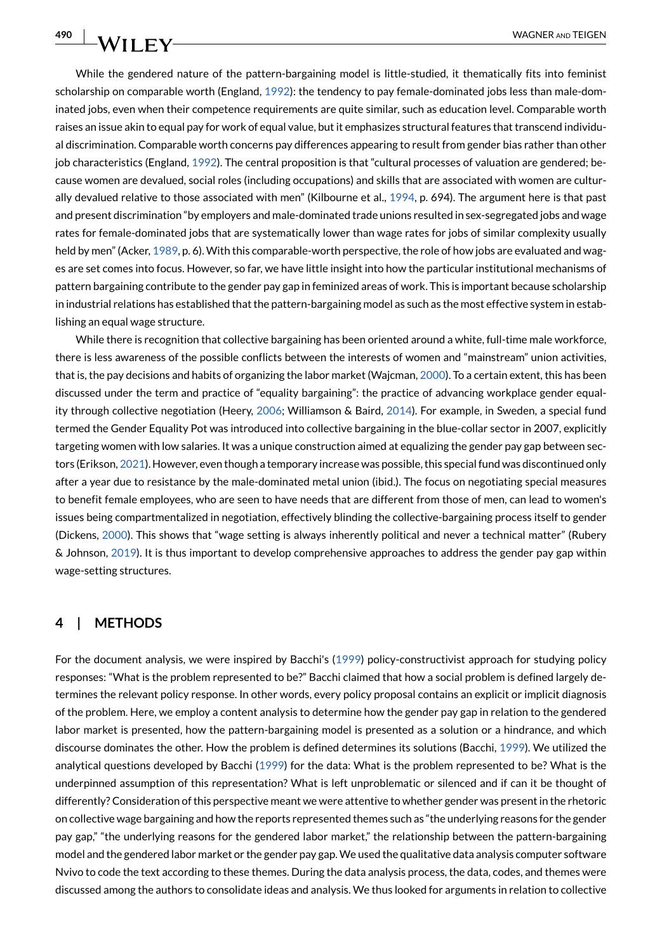While the gendered nature of the pattern-bargaining model is little-studied, it thematically fits into feminist scholarship on comparable worth (England, [1992](#page-14-18)): the tendency to pay female-dominated jobs less than male-dominated jobs, even when their competence requirements are quite similar, such as education level. Comparable worth raises an issue akin to equal pay for work of equal value, but it emphasizes structural features that transcend individual discrimination. Comparable worth concerns pay differences appearing to result from gender bias rather than other job characteristics (England, [1992\)](#page-14-18). The central proposition is that "cultural processes of valuation are gendered; because women are devalued, social roles (including occupations) and skills that are associated with women are cultur-ally devalued relative to those associated with men" (Kilbourne et al., [1994,](#page-14-19) p. 694). The argument here is that past and present discrimination "by employers and male-dominated trade unions resulted in sex-segregated jobs and wage rates for female-dominated jobs that are systematically lower than wage rates for jobs of similar complexity usually held by men" (Acker, [1989](#page-13-5), p. 6). With this comparable-worth perspective, the role of how jobs are evaluated and wages are set comes into focus. However, so far, we have little insight into how the particular institutional mechanisms of pattern bargaining contribute to the gender pay gap in feminized areas of work. This is important because scholarship in industrial relations has established that the pattern-bargaining model as such as the most effective system in establishing an equal wage structure.

While there is recognition that collective bargaining has been oriented around a white, full-time male workforce, there is less awareness of the possible conflicts between the interests of women and "mainstream" union activities, that is, the pay decisions and habits of organizing the labor market (Wajcman, [2000](#page-14-20)). To a certain extent, this has been discussed under the term and practice of "equality bargaining": the practice of advancing workplace gender equality through collective negotiation (Heery, [2006](#page-14-21); Williamson & Baird, [2014\)](#page-14-22). For example, in Sweden, a special fund termed the Gender Equality Pot was introduced into collective bargaining in the blue-collar sector in 2007, explicitly targeting women with low salaries. It was a unique construction aimed at equalizing the gender pay gap between sectors (Erikson, [2021](#page-14-23)). However, even though a temporary increase was possible, this special fund was discontinued only after a year due to resistance by the male-dominated metal union (ibid.). The focus on negotiating special measures to benefit female employees, who are seen to have needs that are different from those of men, can lead to women's issues being compartmentalized in negotiation, effectively blinding the collective-bargaining process itself to gender (Dickens, [2000](#page-14-24)). This shows that "wage setting is always inherently political and never a technical matter" (Rubery & Johnson, [2019\)](#page-14-17). It is thus important to develop comprehensive approaches to address the gender pay gap within wage-setting structures.

## **4 | METHODS**

**490**

**WILEY** 

For the document analysis, we were inspired by Bacchi's ([1999](#page-13-2)) policy-constructivist approach for studying policy responses: "What is the problem represented to be?" Bacchi claimed that how a social problem is defined largely determines the relevant policy response. In other words, every policy proposal contains an explicit or implicit diagnosis of the problem. Here, we employ a content analysis to determine how the gender pay gap in relation to the gendered labor market is presented, how the pattern-bargaining model is presented as a solution or a hindrance, and which discourse dominates the other. How the problem is defined determines its solutions (Bacchi, [1999](#page-13-2)). We utilized the analytical questions developed by Bacchi ([1999](#page-13-2)) for the data: What is the problem represented to be? What is the underpinned assumption of this representation? What is left unproblematic or silenced and if can it be thought of differently? Consideration of this perspective meant we were attentive to whether gender was present in the rhetoric on collective wage bargaining and how the reports represented themes such as "the underlying reasons for the gender pay gap," "the underlying reasons for the gendered labor market," the relationship between the pattern-bargaining model and the gendered labor market or the gender pay gap. We used the qualitative data analysis computer software Nvivo to code the text according to these themes. During the data analysis process, the data, codes, and themes were discussed among the authors to consolidate ideas and analysis. We thus looked for arguments in relation to collective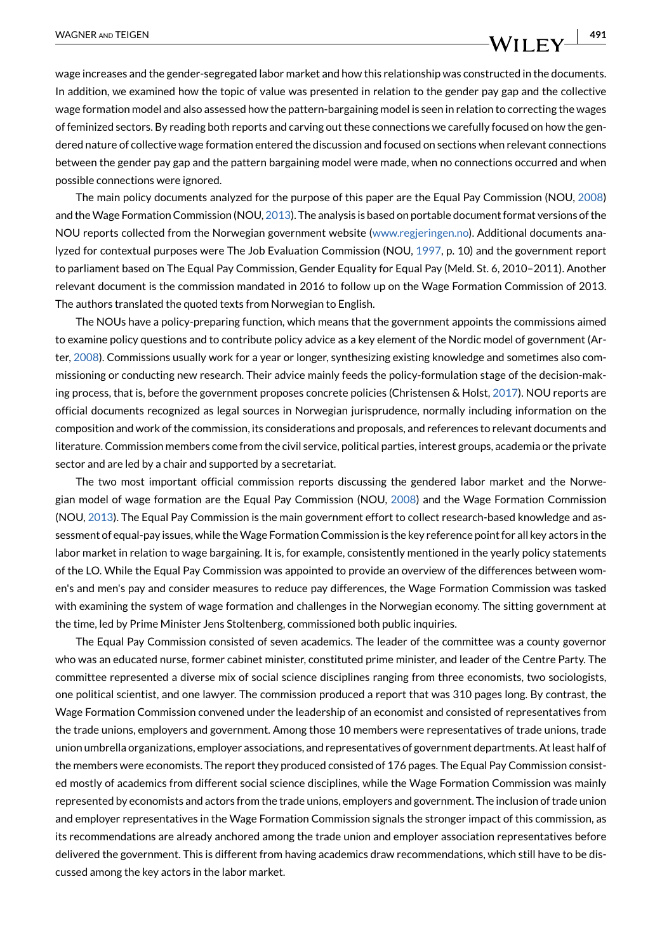wage increases and the gender-segregated labor market and how this relationship was constructed in the documents. In addition, we examined how the topic of value was presented in relation to the gender pay gap and the collective wage formation model and also assessed how the pattern-bargaining model is seen in relation to correcting the wages of feminized sectors. By reading both reports and carving out these connections we carefully focused on how the gendered nature of collective wage formation entered the discussion and focused on sections when relevant connections between the gender pay gap and the pattern bargaining model were made, when no connections occurred and when possible connections were ignored.

The main policy documents analyzed for the purpose of this paper are the Equal Pay Commission (NOU, [2008\)](#page-14-11) and the Wage Formation Commission (NOU, [2013\)](#page-14-25). The analysis is based on portable document format versions of the NOU reports collected from the Norwegian government website ([www.regjeringen.no](http://www.regjeringen.no)). Additional documents analyzed for contextual purposes were The Job Evaluation Commission (NOU, [1997](#page-14-26), p. 10) and the government report to parliament based on The Equal Pay Commission, Gender Equality for Equal Pay (Meld. St. 6, 2010–2011). Another relevant document is the commission mandated in 2016 to follow up on the Wage Formation Commission of 2013. The authors translated the quoted texts from Norwegian to English.

The NOUs have a policy-preparing function, which means that the government appoints the commissions aimed to examine policy questions and to contribute policy advice as a key element of the Nordic model of government (Arter, [2008](#page-13-1)). Commissions usually work for a year or longer, synthesizing existing knowledge and sometimes also commissioning or conducting new research. Their advice mainly feeds the policy-formulation stage of the decision-making process, that is, before the government proposes concrete policies (Christensen & Holst, [2017](#page-13-6)). NOU reports are official documents recognized as legal sources in Norwegian jurisprudence, normally including information on the composition and work of the commission, its considerations and proposals, and references to relevant documents and literature. Commission members come from the civil service, political parties, interest groups, academia or the private sector and are led by a chair and supported by a secretariat.

The two most important official commission reports discussing the gendered labor market and the Norwegian model of wage formation are the Equal Pay Commission (NOU, [2008\)](#page-14-11) and the Wage Formation Commission (NOU, [2013\)](#page-14-25). The Equal Pay Commission is the main government effort to collect research-based knowledge and assessment of equal-pay issues, while the Wage Formation Commission is the key reference point for all key actors in the labor market in relation to wage bargaining. It is, for example, consistently mentioned in the yearly policy statements of the LO. While the Equal Pay Commission was appointed to provide an overview of the differences between women's and men's pay and consider measures to reduce pay differences, the Wage Formation Commission was tasked with examining the system of wage formation and challenges in the Norwegian economy. The sitting government at the time, led by Prime Minister Jens Stoltenberg, commissioned both public inquiries.

The Equal Pay Commission consisted of seven academics. The leader of the committee was a county governor who was an educated nurse, former cabinet minister, constituted prime minister, and leader of the Centre Party. The committee represented a diverse mix of social science disciplines ranging from three economists, two sociologists, one political scientist, and one lawyer. The commission produced a report that was 310 pages long. By contrast, the Wage Formation Commission convened under the leadership of an economist and consisted of representatives from the trade unions, employers and government. Among those 10 members were representatives of trade unions, trade union umbrella organizations, employer associations, and representatives of government departments. At least half of the members were economists. The report they produced consisted of 176 pages. The Equal Pay Commission consisted mostly of academics from different social science disciplines, while the Wage Formation Commission was mainly represented by economists and actors from the trade unions, employers and government. The inclusion of trade union and employer representatives in the Wage Formation Commission signals the stronger impact of this commission, as its recommendations are already anchored among the trade union and employer association representatives before delivered the government. This is different from having academics draw recommendations, which still have to be discussed among the key actors in the labor market.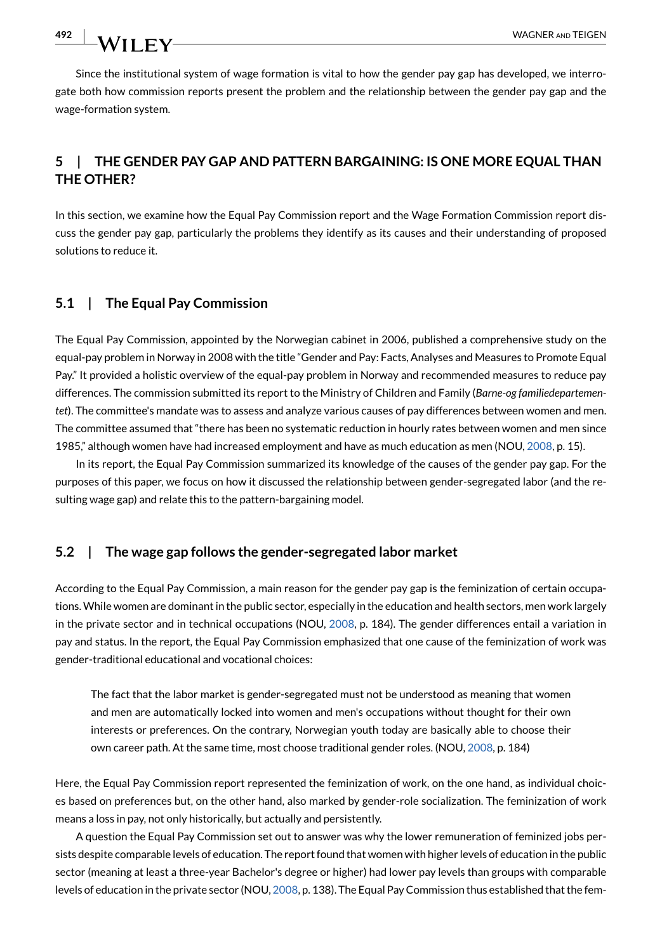Since the institutional system of wage formation is vital to how the gender pay gap has developed, we interrogate both how commission reports present the problem and the relationship between the gender pay gap and the wage-formation system.

## **5 | THE GENDER PAY GAP AND PATTERN BARGAINING: IS ONE MORE EQUAL THAN THE OTHER?**

In this section, we examine how the Equal Pay Commission report and the Wage Formation Commission report discuss the gender pay gap, particularly the problems they identify as its causes and their understanding of proposed solutions to reduce it.

## **5.1 | The Equal Pay Commission**

The Equal Pay Commission, appointed by the Norwegian cabinet in 2006, published a comprehensive study on the equal-pay problem in Norway in 2008 with the title "Gender and Pay: Facts, Analyses and Measures to Promote Equal Pay." It provided a holistic overview of the equal-pay problem in Norway and recommended measures to reduce pay differences. The commission submitted its report to the Ministry of Children and Family (*Barne-og familiedepartementet*). The committee's mandate was to assess and analyze various causes of pay differences between women and men. The committee assumed that "there has been no systematic reduction in hourly rates between women and men since 1985," although women have had increased employment and have as much education as men (NOU, [2008](#page-14-11), p. 15).

In its report, the Equal Pay Commission summarized its knowledge of the causes of the gender pay gap. For the purposes of this paper, we focus on how it discussed the relationship between gender-segregated labor (and the resulting wage gap) and relate this to the pattern-bargaining model.

## **5.2 | The wage gap follows the gender-segregated labor market**

According to the Equal Pay Commission, a main reason for the gender pay gap is the feminization of certain occupations. While women are dominant in the public sector, especially in the education and health sectors, men work largely in the private sector and in technical occupations (NOU, [2008,](#page-14-11) p. 184). The gender differences entail a variation in pay and status. In the report, the Equal Pay Commission emphasized that one cause of the feminization of work was gender-traditional educational and vocational choices:

The fact that the labor market is gender-segregated must not be understood as meaning that women and men are automatically locked into women and men's occupations without thought for their own interests or preferences. On the contrary, Norwegian youth today are basically able to choose their own career path. At the same time, most choose traditional gender roles. (NOU, [2008,](#page-14-11) p. 184)

Here, the Equal Pay Commission report represented the feminization of work, on the one hand, as individual choices based on preferences but, on the other hand, also marked by gender-role socialization. The feminization of work means a loss in pay, not only historically, but actually and persistently.

A question the Equal Pay Commission set out to answer was why the lower remuneration of feminized jobs persists despite comparable levels of education. The report found that women with higher levels of education in the public sector (meaning at least a three-year Bachelor's degree or higher) had lower pay levels than groups with comparable levels of education in the private sector (NOU, [2008](#page-14-11), p. 138). The Equal Pay Commission thus established that the fem-

492 | WILEY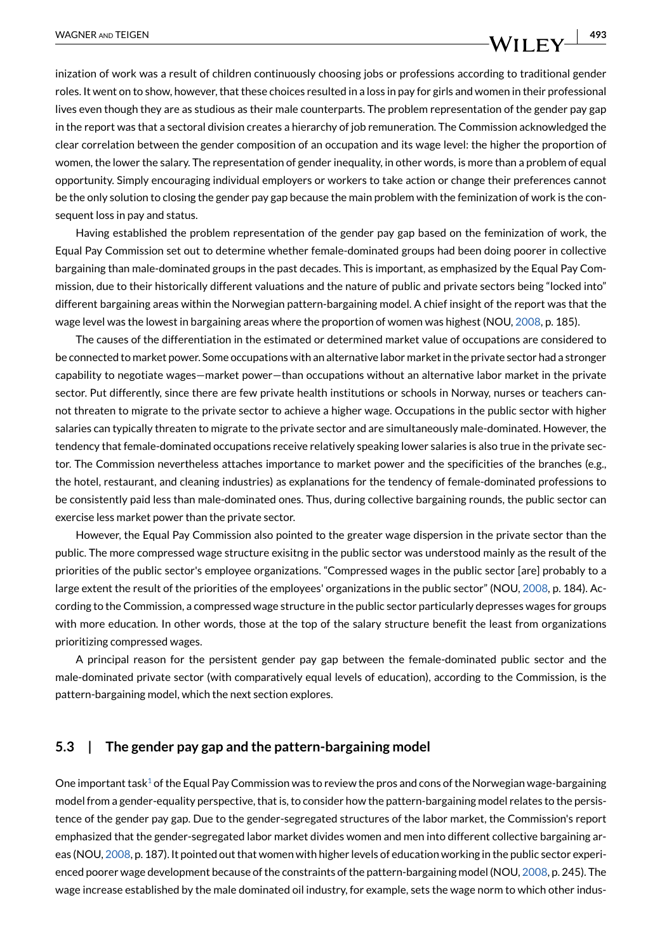inization of work was a result of children continuously choosing jobs or professions according to traditional gender roles. It went on to show, however, that these choices resulted in a loss in pay for girls and women in their professional lives even though they are as studious as their male counterparts. The problem representation of the gender pay gap in the report was that a sectoral division creates a hierarchy of job remuneration. The Commission acknowledged the clear correlation between the gender composition of an occupation and its wage level: the higher the proportion of women, the lower the salary. The representation of gender inequality, in other words, is more than a problem of equal opportunity. Simply encouraging individual employers or workers to take action or change their preferences cannot be the only solution to closing the gender pay gap because the main problem with the feminization of work is the consequent loss in pay and status.

Having established the problem representation of the gender pay gap based on the feminization of work, the Equal Pay Commission set out to determine whether female-dominated groups had been doing poorer in collective bargaining than male-dominated groups in the past decades. This is important, as emphasized by the Equal Pay Commission, due to their historically different valuations and the nature of public and private sectors being "locked into" different bargaining areas within the Norwegian pattern-bargaining model. A chief insight of the report was that the wage level was the lowest in bargaining areas where the proportion of women was highest (NOU, [2008,](#page-14-11) p. 185).

The causes of the differentiation in the estimated or determined market value of occupations are considered to be connected to market power. Some occupations with an alternative labor market in the private sector had a stronger capability to negotiate wages—market power—than occupations without an alternative labor market in the private sector. Put differently, since there are few private health institutions or schools in Norway, nurses or teachers cannot threaten to migrate to the private sector to achieve a higher wage. Occupations in the public sector with higher salaries can typically threaten to migrate to the private sector and are simultaneously male-dominated. However, the tendency that female-dominated occupations receive relatively speaking lower salaries is also true in the private sector. The Commission nevertheless attaches importance to market power and the specificities of the branches (e.g., the hotel, restaurant, and cleaning industries) as explanations for the tendency of female-dominated professions to be consistently paid less than male-dominated ones. Thus, during collective bargaining rounds, the public sector can exercise less market power than the private sector.

However, the Equal Pay Commission also pointed to the greater wage dispersion in the private sector than the public. The more compressed wage structure exisitng in the public sector was understood mainly as the result of the priorities of the public sector's employee organizations. "Compressed wages in the public sector [are] probably to a large extent the result of the priorities of the employees' organizations in the public sector" (NOU, [2008](#page-14-11), p. 184). According to the Commission, a compressed wage structure in the public sector particularly depresses wages for groups with more education. In other words, those at the top of the salary structure benefit the least from organizations prioritizing compressed wages.

A principal reason for the persistent gender pay gap between the female-dominated public sector and the male-dominated private sector (with comparatively equal levels of education), according to the Commission, is the pattern-bargaining model, which the next section explores.

## **5.3 | The gender pay gap and the pattern-bargaining model**

One important task<sup>1</sup> of the Equal Pay Commission was to review the pros and cons of the Norwegian wage-bargaining model from a gender-equality perspective, that is, to consider how the pattern-bargaining model relates to the persistence of the gender pay gap. Due to the gender-segregated structures of the labor market, the Commission's report emphasized that the gender-segregated labor market divides women and men into different collective bargaining areas (NOU, [2008,](#page-14-11) p. 187). It pointed out that women with higher levels of education working in the public sector experienced poorer wage development because of the constraints of the pattern-bargaining model (NOU, [2008](#page-14-11), p. 245). The wage increase established by the male dominated oil industry, for example, sets the wage norm to which other indus-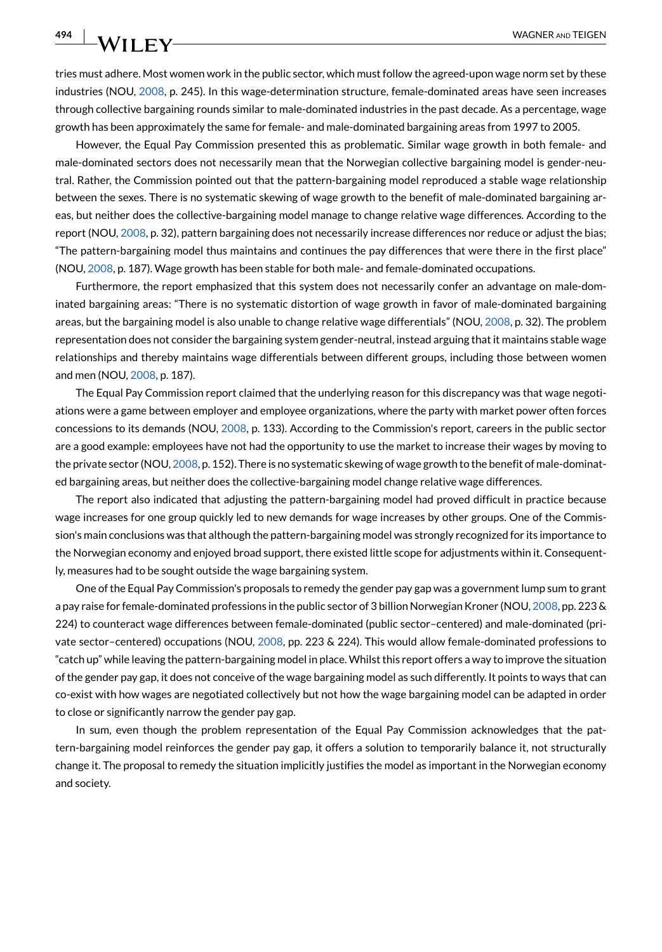tries must adhere. Most women work in the public sector, which must follow the agreed-upon wage norm set by these industries (NOU, [2008](#page-14-11), p. 245). In this wage-determination structure, female-dominated areas have seen increases through collective bargaining rounds similar to male-dominated industries in the past decade. As a percentage, wage growth has been approximately the same for female- and male-dominated bargaining areas from 1997 to 2005.

However, the Equal Pay Commission presented this as problematic. Similar wage growth in both female- and male-dominated sectors does not necessarily mean that the Norwegian collective bargaining model is gender-neutral. Rather, the Commission pointed out that the pattern-bargaining model reproduced a stable wage relationship between the sexes. There is no systematic skewing of wage growth to the benefit of male-dominated bargaining areas, but neither does the collective-bargaining model manage to change relative wage differences. According to the report (NOU, [2008,](#page-14-11) p. 32), pattern bargaining does not necessarily increase differences nor reduce or adjust the bias; "The pattern-bargaining model thus maintains and continues the pay differences that were there in the first place" (NOU, [2008,](#page-14-11) p. 187). Wage growth has been stable for both male- and female-dominated occupations.

Furthermore, the report emphasized that this system does not necessarily confer an advantage on male-dominated bargaining areas: "There is no systematic distortion of wage growth in favor of male-dominated bargaining areas, but the bargaining model is also unable to change relative wage differentials" (NOU, [2008,](#page-14-11) p. 32). The problem representation does not consider the bargaining system gender-neutral, instead arguing that it maintains stable wage relationships and thereby maintains wage differentials between different groups, including those between women and men (NOU, [2008](#page-14-11), p. 187).

The Equal Pay Commission report claimed that the underlying reason for this discrepancy was that wage negotiations were a game between employer and employee organizations, where the party with market power often forces concessions to its demands (NOU, [2008,](#page-14-11) p. 133). According to the Commission's report, careers in the public sector are a good example: employees have not had the opportunity to use the market to increase their wages by moving to the private sector (NOU, [2008,](#page-14-11) p. 152). There is no systematic skewing of wage growth to the benefit of male-dominated bargaining areas, but neither does the collective-bargaining model change relative wage differences.

The report also indicated that adjusting the pattern-bargaining model had proved difficult in practice because wage increases for one group quickly led to new demands for wage increases by other groups. One of the Commission's main conclusions was that although the pattern-bargaining model was strongly recognized for its importance to the Norwegian economy and enjoyed broad support, there existed little scope for adjustments within it. Consequently, measures had to be sought outside the wage bargaining system.

One of the Equal Pay Commission's proposals to remedy the gender pay gap was a government lump sum to grant a pay raise for female-dominated professions in the public sector of 3 billion Norwegian Kroner (NOU, [2008,](#page-14-11) pp. 223 & 224) to counteract wage differences between female-dominated (public sector–centered) and male-dominated (private sector–centered) occupations (NOU, [2008](#page-14-11), pp. 223 & 224). This would allow female-dominated professions to "catch up" while leaving the pattern-bargaining model in place. Whilst this report offers a way to improve the situation of the gender pay gap, it does not conceive of the wage bargaining model as such differently. It points to ways that can co-exist with how wages are negotiated collectively but not how the wage bargaining model can be adapted in order to close or significantly narrow the gender pay gap.

In sum, even though the problem representation of the Equal Pay Commission acknowledges that the pattern-bargaining model reinforces the gender pay gap, it offers a solution to temporarily balance it, not structurally change it. The proposal to remedy the situation implicitly justifies the model as important in the Norwegian economy and society.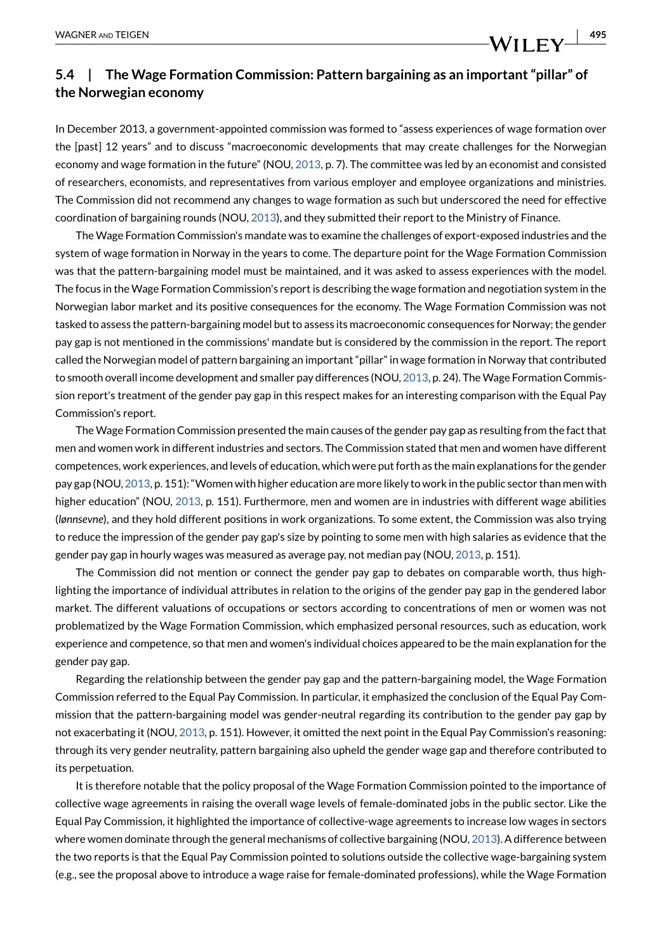## **5.4 | The Wage Formation Commission: Pattern bargaining as an important "pillar" of the Norwegian economy**

In December 2013, a government-appointed commission was formed to "assess experiences of wage formation over the [past] 12 years" and to discuss "macroeconomic developments that may create challenges for the Norwegian economy and wage formation in the future" (NOU, [2013,](#page-14-25) p. 7). The committee was led by an economist and consisted of researchers, economists, and representatives from various employer and employee organizations and ministries. The Commission did not recommend any changes to wage formation as such but underscored the need for effective coordination of bargaining rounds (NOU, [2013](#page-14-25)), and they submitted their report to the Ministry of Finance.

The Wage Formation Commission's mandate was to examine the challenges of export-exposed industries and the system of wage formation in Norway in the years to come. The departure point for the Wage Formation Commission was that the pattern-bargaining model must be maintained, and it was asked to assess experiences with the model. The focus in the Wage Formation Commission's report is describing the wage formation and negotiation system in the Norwegian labor market and its positive consequences for the economy. The Wage Formation Commission was not tasked to assess the pattern-bargaining model but to assess its macroeconomic consequences for Norway; the gender pay gap is not mentioned in the commissions' mandate but is considered by the commission in the report. The report called the Norwegian model of pattern bargaining an important "pillar" in wage formation in Norway that contributed to smooth overall income development and smaller pay differences (NOU, [2013,](#page-14-25) p. 24). The Wage Formation Commission report's treatment of the gender pay gap in this respect makes for an interesting comparison with the Equal Pay Commission's report.

The Wage Formation Commission presented the main causes of the gender pay gap as resulting from the fact that men and women work in different industries and sectors. The Commission stated that men and women have different competences, work experiences, and levels of education, which were put forth as the main explanations for the gender pay gap (NOU, [2013](#page-14-25), p. 151): "Women with higher education are more likely to work in the public sector than men with higher education" (NOU, [2013](#page-14-25), p. 151). Furthermore, men and women are in industries with different wage abilities (*lønnsevne*), and they hold different positions in work organizations. To some extent, the Commission was also trying to reduce the impression of the gender pay gap's size by pointing to some men with high salaries as evidence that the gender pay gap in hourly wages was measured as average pay, not median pay (NOU, [2013](#page-14-25), p. 151).

The Commission did not mention or connect the gender pay gap to debates on comparable worth, thus highlighting the importance of individual attributes in relation to the origins of the gender pay gap in the gendered labor market. The different valuations of occupations or sectors according to concentrations of men or women was not problematized by the Wage Formation Commission, which emphasized personal resources, such as education, work experience and competence, so that men and women's individual choices appeared to be the main explanation for the gender pay gap.

Regarding the relationship between the gender pay gap and the pattern-bargaining model, the Wage Formation Commission referred to the Equal Pay Commission. In particular, it emphasized the conclusion of the Equal Pay Commission that the pattern-bargaining model was gender-neutral regarding its contribution to the gender pay gap by not exacerbating it (NOU, [2013,](#page-14-25) p. 151). However, it omitted the next point in the Equal Pay Commission's reasoning: through its very gender neutrality, pattern bargaining also upheld the gender wage gap and therefore contributed to its perpetuation.

It is therefore notable that the policy proposal of the Wage Formation Commission pointed to the importance of collective wage agreements in raising the overall wage levels of female-dominated jobs in the public sector. Like the Equal Pay Commission, it highlighted the importance of collective-wage agreements to increase low wages in sectors where women dominate through the general mechanisms of collective bargaining (NOU, [2013](#page-14-25)). A difference between the two reports is that the Equal Pay Commission pointed to solutions outside the collective wage-bargaining system (e.g., see the proposal above to introduce a wage raise for female-dominated professions), while the Wage Formation

WILEY $\perp$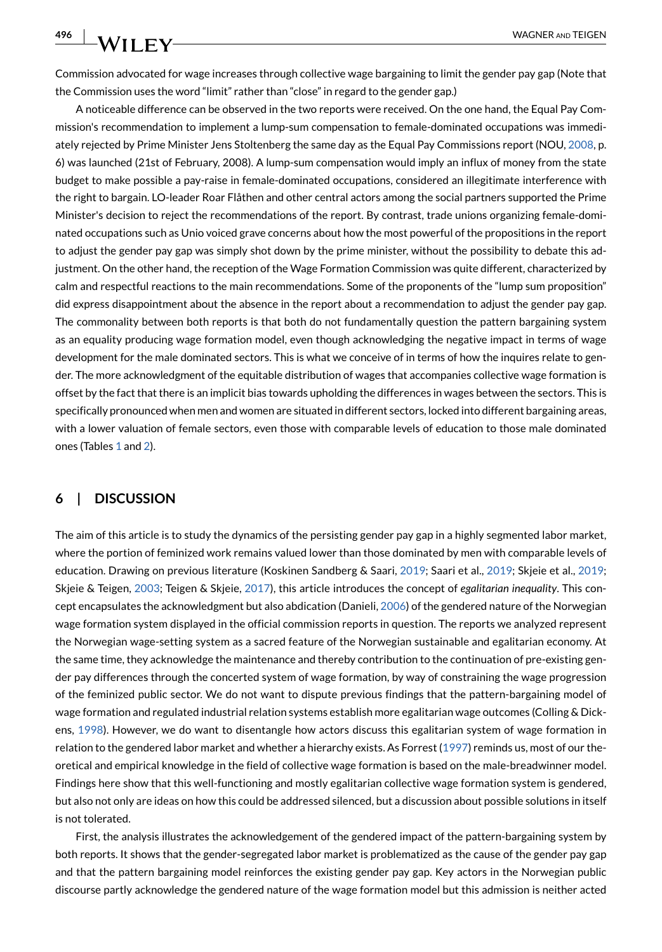Commission advocated for wage increases through collective wage bargaining to limit the gender pay gap (Note that the Commission uses the word "limit" rather than "close" in regard to the gender gap.)

A noticeable difference can be observed in the two reports were received. On the one hand, the Equal Pay Commission's recommendation to implement a lump-sum compensation to female-dominated occupations was immediately rejected by Prime Minister Jens Stoltenberg the same day as the Equal Pay Commissions report (NOU, [2008,](#page-14-11) p. 6) was launched (21st of February, 2008). A lump-sum compensation would imply an influx of money from the state budget to make possible a pay-raise in female-dominated occupations, considered an illegitimate interference with the right to bargain. LO-leader Roar Flåthen and other central actors among the social partners supported the Prime Minister's decision to reject the recommendations of the report. By contrast, trade unions organizing female-dominated occupations such as Unio voiced grave concerns about how the most powerful of the propositions in the report to adjust the gender pay gap was simply shot down by the prime minister, without the possibility to debate this adjustment. On the other hand, the reception of the Wage Formation Commission was quite different, characterized by calm and respectful reactions to the main recommendations. Some of the proponents of the "lump sum proposition" did express disappointment about the absence in the report about a recommendation to adjust the gender pay gap. The commonality between both reports is that both do not fundamentally question the pattern bargaining system as an equality producing wage formation model, even though acknowledging the negative impact in terms of wage development for the male dominated sectors. This is what we conceive of in terms of how the inquires relate to gender. The more acknowledgment of the equitable distribution of wages that accompanies collective wage formation is offset by the fact that there is an implicit bias towards upholding the differences in wages between the sectors. This is specifically pronounced when men and women are situated in different sectors, locked into different bargaining areas, with a lower valuation of female sectors, even those with comparable levels of education to those male dominated ones (Tables [1](#page-11-0) and [2\)](#page-12-0).

#### **6 | DISCUSSION**

The aim of this article is to study the dynamics of the persisting gender pay gap in a highly segmented labor market, where the portion of feminized work remains valued lower than those dominated by men with comparable levels of education. Drawing on previous literature (Koskinen Sandberg & Saari, [2019;](#page-14-4) Saari et al., [2019](#page-14-5); Skjeie et al., [2019](#page-14-13); Skjeie & Teigen, [2003](#page-14-12); Teigen & Skjeie, [2017\)](#page-14-7), this article introduces the concept of *egalitarian inequality*. This concept encapsulates the acknowledgment but also abdication (Danieli, [2006](#page-14-9)) of the gendered nature of the Norwegian wage formation system displayed in the official commission reports in question. The reports we analyzed represent the Norwegian wage-setting system as a sacred feature of the Norwegian sustainable and egalitarian economy. At the same time, they acknowledge the maintenance and thereby contribution to the continuation of pre-existing gender pay differences through the concerted system of wage formation, by way of constraining the wage progression of the feminized public sector. We do not want to dispute previous findings that the pattern-bargaining model of wage formation and regulated industrial relation systems establish more egalitarian wage outcomes (Colling & Dickens, [1998\)](#page-14-27). However, we do want to disentangle how actors discuss this egalitarian system of wage formation in relation to the gendered labor market and whether a hierarchy exists. As Forrest [\(1997\)](#page-14-28) reminds us, most of our theoretical and empirical knowledge in the field of collective wage formation is based on the male-breadwinner model. Findings here show that this well-functioning and mostly egalitarian collective wage formation system is gendered, but also not only are ideas on how this could be addressed silenced, but a discussion about possible solutions in itself is not tolerated.

First, the analysis illustrates the acknowledgement of the gendered impact of the pattern-bargaining system by both reports. It shows that the gender-segregated labor market is problematized as the cause of the gender pay gap and that the pattern bargaining model reinforces the existing gender pay gap. Key actors in the Norwegian public discourse partly acknowledge the gendered nature of the wage formation model but this admission is neither acted

**496**

 $\perp_{\mathsf{WILEY}}$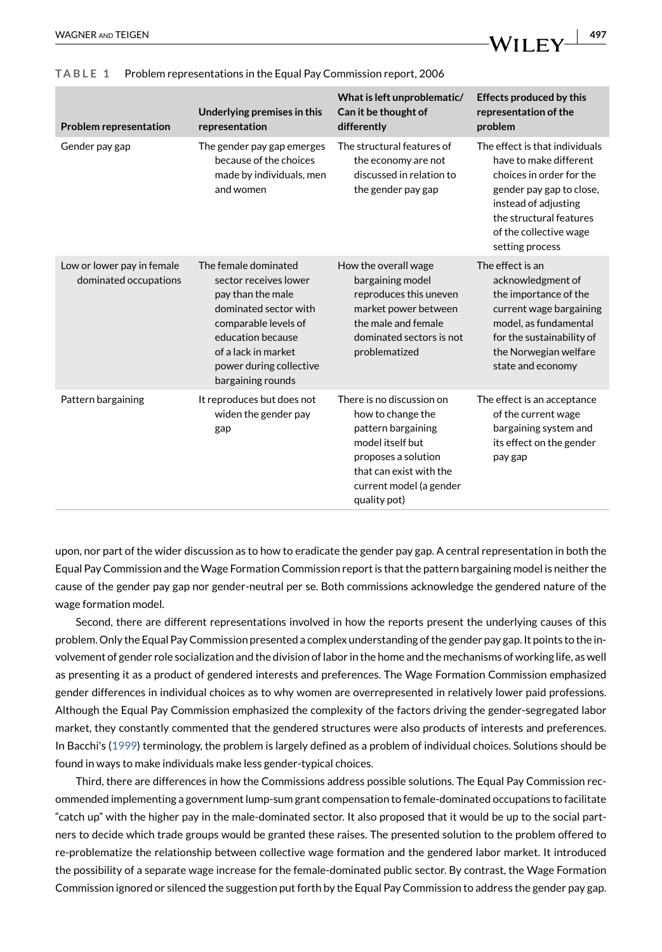| <b>Problem representation</b>                       | Underlying premises in this<br>representation                                                                                                                                                                   | What is left unproblematic/<br>Can it be thought of<br>differently                                                                                                                    | <b>Effects produced by this</b><br>representation of the<br>problem                                                                                                                                              |
|-----------------------------------------------------|-----------------------------------------------------------------------------------------------------------------------------------------------------------------------------------------------------------------|---------------------------------------------------------------------------------------------------------------------------------------------------------------------------------------|------------------------------------------------------------------------------------------------------------------------------------------------------------------------------------------------------------------|
| Gender pay gap                                      | The gender pay gap emerges<br>because of the choices<br>made by individuals, men<br>and women                                                                                                                   | The structural features of<br>the economy are not<br>discussed in relation to<br>the gender pay gap                                                                                   | The effect is that individuals<br>have to make different<br>choices in order for the<br>gender pay gap to close,<br>instead of adjusting<br>the structural features<br>of the collective wage<br>setting process |
| Low or lower pay in female<br>dominated occupations | The female dominated<br>sector receives lower<br>pay than the male<br>dominated sector with<br>comparable levels of<br>education because<br>of a lack in market<br>power during collective<br>bargaining rounds | How the overall wage<br>bargaining model<br>reproduces this uneven<br>market power between<br>the male and female<br>dominated sectors is not<br>problematized                        | The effect is an<br>acknowledgment of<br>the importance of the<br>current wage bargaining<br>model, as fundamental<br>for the sustainability of<br>the Norwegian welfare<br>state and economy                    |
| Pattern bargaining                                  | It reproduces but does not<br>widen the gender pay<br>gap                                                                                                                                                       | There is no discussion on<br>how to change the<br>pattern bargaining<br>model itself but<br>proposes a solution<br>that can exist with the<br>current model (a gender<br>quality pot) | The effect is an acceptance<br>of the current wage<br>bargaining system and<br>its effect on the gender<br>pay gap                                                                                               |

#### <span id="page-11-0"></span>**TABLE 1** Problem representations in the Equal Pay Commission report, 2006

upon, nor part of the wider discussion as to how to eradicate the gender pay gap. A central representation in both the Equal Pay Commission and the Wage Formation Commission report is that the pattern bargaining model is neither the cause of the gender pay gap nor gender-neutral per se. Both commissions acknowledge the gendered nature of the wage formation model.

Second, there are different representations involved in how the reports present the underlying causes of this problem. Only the Equal Pay Commission presented a complex understanding of the gender pay gap. It points to the involvement of gender role socialization and the division of labor in the home and the mechanisms of working life, as well as presenting it as a product of gendered interests and preferences. The Wage Formation Commission emphasized gender differences in individual choices as to why women are overrepresented in relatively lower paid professions. Although the Equal Pay Commission emphasized the complexity of the factors driving the gender-segregated labor market, they constantly commented that the gendered structures were also products of interests and preferences. In Bacchi's ([1999](#page-13-2)) terminology, the problem is largely defined as a problem of individual choices. Solutions should be found in ways to make individuals make less gender-typical choices.

Third, there are differences in how the Commissions address possible solutions. The Equal Pay Commission recommended implementing a government lump-sum grant compensation to female-dominated occupations to facilitate "catch up" with the higher pay in the male-dominated sector. It also proposed that it would be up to the social partners to decide which trade groups would be granted these raises. The presented solution to the problem offered to re-problematize the relationship between collective wage formation and the gendered labor market. It introduced the possibility of a separate wage increase for the female-dominated public sector. By contrast, the Wage Formation Commission ignored or silenced the suggestion put forth by the Equal Pay Commission to address the gender pay gap.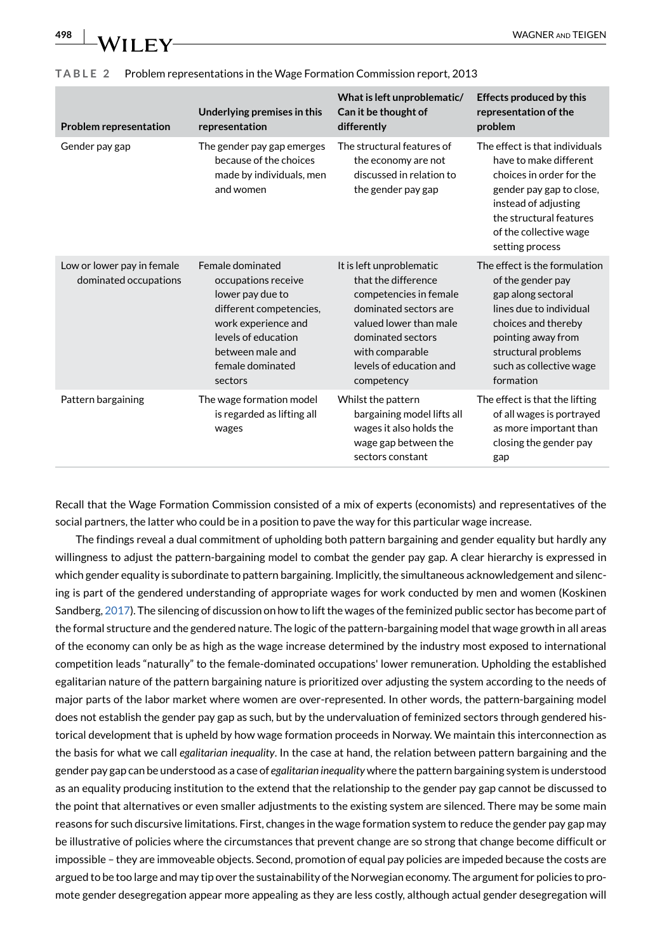| 498 | WHI<br>F |
|-----|----------|
|     |          |

| <b>Problem representation</b>                       | Underlying premises in this<br>representation                                                                                                                                           | What is left unproblematic/<br>Can it be thought of<br>differently                                                                                                                                            | <b>Effects produced by this</b><br>representation of the<br>problem                                                                                                                                              |
|-----------------------------------------------------|-----------------------------------------------------------------------------------------------------------------------------------------------------------------------------------------|---------------------------------------------------------------------------------------------------------------------------------------------------------------------------------------------------------------|------------------------------------------------------------------------------------------------------------------------------------------------------------------------------------------------------------------|
| Gender pay gap                                      | The gender pay gap emerges<br>because of the choices<br>made by individuals, men<br>and women                                                                                           | The structural features of<br>the economy are not<br>discussed in relation to<br>the gender pay gap                                                                                                           | The effect is that individuals<br>have to make different<br>choices in order for the<br>gender pay gap to close,<br>instead of adjusting<br>the structural features<br>of the collective wage<br>setting process |
| Low or lower pay in female<br>dominated occupations | Female dominated<br>occupations receive<br>lower pay due to<br>different competencies,<br>work experience and<br>levels of education<br>between male and<br>female dominated<br>sectors | It is left unproblematic<br>that the difference<br>competencies in female<br>dominated sectors are<br>valued lower than male<br>dominated sectors<br>with comparable<br>levels of education and<br>competency | The effect is the formulation<br>of the gender pay<br>gap along sectoral<br>lines due to individual<br>choices and thereby<br>pointing away from<br>structural problems<br>such as collective wage<br>formation  |
| Pattern bargaining                                  | The wage formation model<br>is regarded as lifting all<br>wages                                                                                                                         | Whilst the pattern<br>bargaining model lifts all<br>wages it also holds the<br>wage gap between the<br>sectors constant                                                                                       | The effect is that the lifting<br>of all wages is portrayed<br>as more important than<br>closing the gender pay<br>gap                                                                                           |

#### <span id="page-12-0"></span>**TABLE 2** Problem representations in the Wage Formation Commission report, 2013

Recall that the Wage Formation Commission consisted of a mix of experts (economists) and representatives of the social partners, the latter who could be in a position to pave the way for this particular wage increase.

The findings reveal a dual commitment of upholding both pattern bargaining and gender equality but hardly any willingness to adjust the pattern-bargaining model to combat the gender pay gap. A clear hierarchy is expressed in which gender equality is subordinate to pattern bargaining. Implicitly, the simultaneous acknowledgement and silencing is part of the gendered understanding of appropriate wages for work conducted by men and women (Koskinen Sandberg, [2017](#page-14-29)). The silencing of discussion on how to lift the wages of the feminized public sector has become part of the formal structure and the gendered nature. The logic of the pattern-bargaining model that wage growth in all areas of the economy can only be as high as the wage increase determined by the industry most exposed to international competition leads "naturally" to the female-dominated occupations' lower remuneration. Upholding the established egalitarian nature of the pattern bargaining nature is prioritized over adjusting the system according to the needs of major parts of the labor market where women are over-represented. In other words, the pattern-bargaining model does not establish the gender pay gap as such, but by the undervaluation of feminized sectors through gendered historical development that is upheld by how wage formation proceeds in Norway. We maintain this interconnection as the basis for what we call *egalitarian inequality*. In the case at hand, the relation between pattern bargaining and the gender pay gap can be understood as a case of *egalitarian inequality* where the pattern bargaining system is understood as an equality producing institution to the extend that the relationship to the gender pay gap cannot be discussed to the point that alternatives or even smaller adjustments to the existing system are silenced. There may be some main reasons for such discursive limitations. First, changes in the wage formation system to reduce the gender pay gap may be illustrative of policies where the circumstances that prevent change are so strong that change become difficult or impossible – they are immoveable objects. Second, promotion of equal pay policies are impeded because the costs are argued to be too large and may tip over the sustainability of the Norwegian economy. The argument for policies to promote gender desegregation appear more appealing as they are less costly, although actual gender desegregation will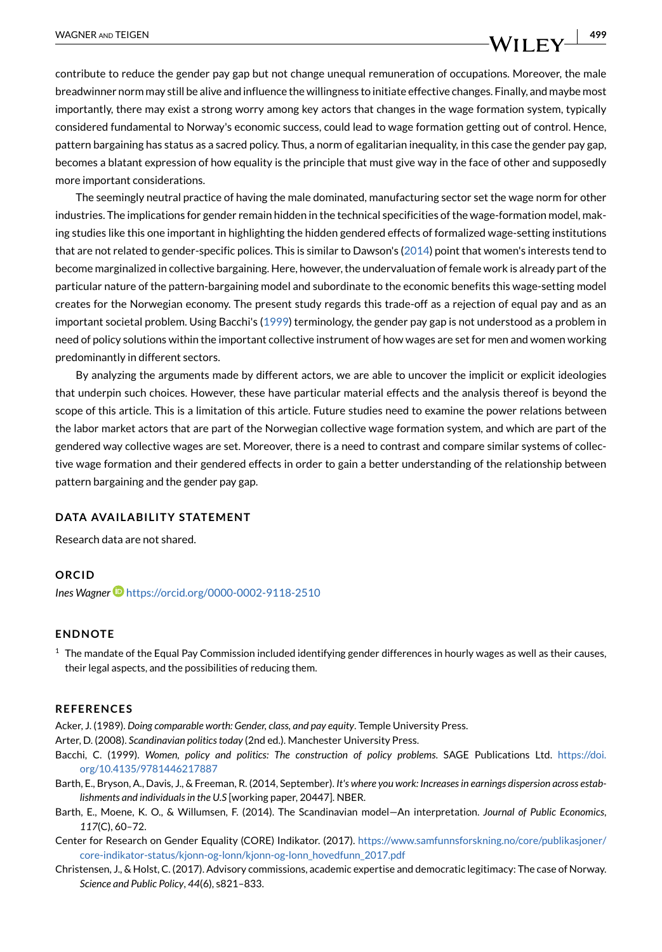contribute to reduce the gender pay gap but not change unequal remuneration of occupations. Moreover, the male breadwinner norm may still be alive and influence the willingness to initiate effective changes. Finally, and maybe most importantly, there may exist a strong worry among key actors that changes in the wage formation system, typically considered fundamental to Norway's economic success, could lead to wage formation getting out of control. Hence, pattern bargaining has status as a sacred policy. Thus, a norm of egalitarian inequality, in this case the gender pay gap, becomes a blatant expression of how equality is the principle that must give way in the face of other and supposedly more important considerations.

The seemingly neutral practice of having the male dominated, manufacturing sector set the wage norm for other industries. The implications for gender remain hidden in the technical specificities of the wage-formation model, making studies like this one important in highlighting the hidden gendered effects of formalized wage-setting institutions that are not related to gender-specific polices. This is similar to Dawson's ([2014\)](#page-14-30) point that women's interests tend to become marginalized in collective bargaining. Here, however, the undervaluation of female work is already part of the particular nature of the pattern-bargaining model and subordinate to the economic benefits this wage-setting model creates for the Norwegian economy. The present study regards this trade-off as a rejection of equal pay and as an important societal problem. Using Bacchi's ([1999](#page-13-2)) terminology, the gender pay gap is not understood as a problem in need of policy solutions within the important collective instrument of how wages are set for men and women working predominantly in different sectors.

By analyzing the arguments made by different actors, we are able to uncover the implicit or explicit ideologies that underpin such choices. However, these have particular material effects and the analysis thereof is beyond the scope of this article. This is a limitation of this article. Future studies need to examine the power relations between the labor market actors that are part of the Norwegian collective wage formation system, and which are part of the gendered way collective wages are set. Moreover, there is a need to contrast and compare similar systems of collective wage formation and their gendered effects in order to gain a better understanding of the relationship between pattern bargaining and the gender pay gap.

#### **DATA AVAILABILITY STATEMENT**

Research data are not shared.

#### **ORCID**

*Ines Wagner* <https://orcid.org/0000-0002-9118-2510>

#### **ENDNOTE**

<span id="page-13-7"></span> $1$  The mandate of the Equal Pay Commission included identifying gender differences in hourly wages as well as their causes, their legal aspects, and the possibilities of reducing them.

#### **REFERENCES**

<span id="page-13-5"></span>Acker, J. (1989). *Doing comparable worth: Gender, class, and pay equity*. Temple University Press.

- <span id="page-13-1"></span>Arter, D. (2008). *Scandinavian politics today* (2nd ed.). Manchester University Press.
- <span id="page-13-2"></span>Bacchi, C. (1999). *Women, policy and politics: The construction of policy problems*. SAGE Publications Ltd. [https://doi.](https://doi.org/10.4135/9781446217887) [org/10.4135/9781446217887](https://doi.org/10.4135/9781446217887)
- <span id="page-13-3"></span>Barth, E., Bryson, A., Davis, J., & Freeman, R. (2014, September). *It's where you work: Increases in earnings dispersion across establishments and individuals in the U.S* [working paper, 20447]. NBER.
- <span id="page-13-4"></span>Barth, E., Moene, K. O., & Willumsen, F. (2014). The Scandinavian model—An interpretation. *Journal of Public Economics*, *117*(C), 60–72.
- <span id="page-13-0"></span>Center for Research on Gender Equality (CORE) Indikator. (2017). [https://www.samfunnsforskning.no/core/publikasjoner/](https://www.samfunnsforskning.no/core/publikasjoner/core-indikator-status/kjonn-og-lonn/kjonn-og-lonn_hovedfunn_2017.pdf) [core-indikator-status/kjonn-og-lonn/kjonn-og-lonn\\_hovedfunn\\_2017.pdf](https://www.samfunnsforskning.no/core/publikasjoner/core-indikator-status/kjonn-og-lonn/kjonn-og-lonn_hovedfunn_2017.pdf)
- <span id="page-13-6"></span>Christensen, J., & Holst, C. (2017). Advisory commissions, academic expertise and democratic legitimacy: The case of Norway. *Science and Public Policy*, *44*(6), s821–833.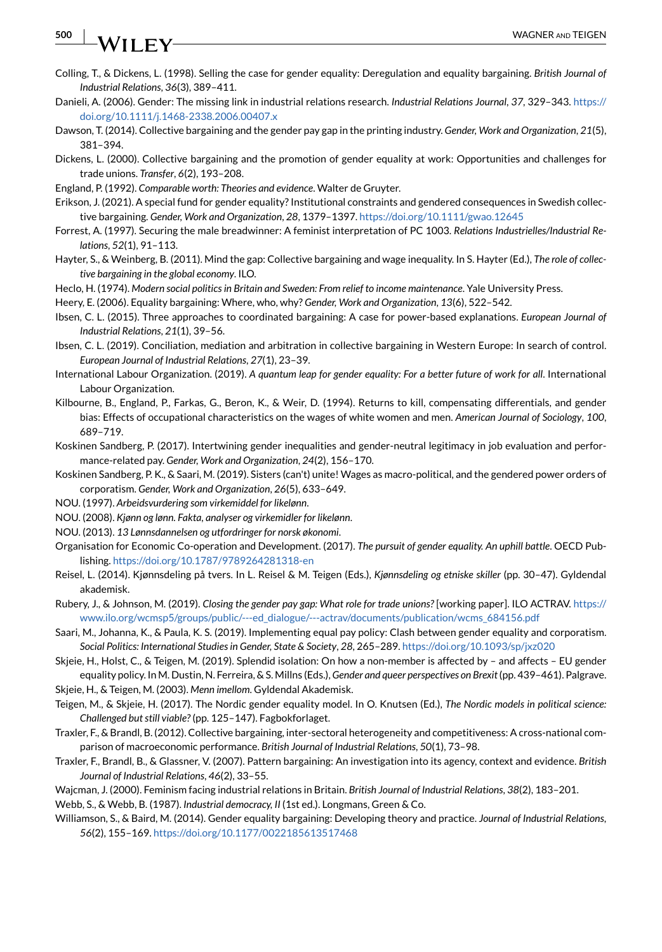# WILEY

- <span id="page-14-27"></span>Colling, T., & Dickens, L. (1998). Selling the case for gender equality: Deregulation and equality bargaining. *British Journal of Industrial Relations*, *36*(3), 389–411.
- <span id="page-14-9"></span>Danieli, A. (2006). Gender: The missing link in industrial relations research. *Industrial Relations Journal*, *37*, 329–343. [https://](https://doi.org/10.1111/j.1468-2338.2006.00407.x) [doi.org/10.1111/j.1468-2338.2006.00407.x](https://doi.org/10.1111/j.1468-2338.2006.00407.x)
- <span id="page-14-30"></span>Dawson, T. (2014). Collective bargaining and the gender pay gap in the printing industry. *Gender, Work and Organization*, *21*(5), 381–394.
- <span id="page-14-24"></span>Dickens, L. (2000). Collective bargaining and the promotion of gender equality at work: Opportunities and challenges for trade unions. *Transfer*, *6*(2), 193–208.
- <span id="page-14-18"></span>England, P. (1992). *Comparable worth: Theories and evidence*. Walter de Gruyter.
- <span id="page-14-23"></span>Erikson, J. (2021). A special fund for gender equality? Institutional constraints and gendered consequences in Swedish collective bargaining. *Gender, Work and Organization*, *28*, 1379–1397.<https://doi.org/10.1111/gwao.12645>
- <span id="page-14-28"></span>Forrest, A. (1997). Securing the male breadwinner: A feminist interpretation of PC 1003. *Relations Industrielles/Industrial Relations*, *52*(1), 91–113.
- <span id="page-14-14"></span>Hayter, S., & Weinberg, B. (2011). Mind the gap: Collective bargaining and wage inequality. In S. Hayter (Ed.), *The role of collective bargaining in the global economy*. ILO.
- <span id="page-14-8"></span>Heclo, H. (1974). *Modern social politics in Britain and Sweden: From relief to income maintenance*. Yale University Press.
- <span id="page-14-21"></span>Heery, E. (2006). Equality bargaining: Where, who, why? *Gender, Work and Organization*, *13*(6), 522–542.
- <span id="page-14-2"></span>Ibsen, C. L. (2015). Three approaches to coordinated bargaining: A case for power-based explanations. *European Journal of Industrial Relations*, *21*(1), 39–56.
- <span id="page-14-6"></span>Ibsen, C. L. (2019). Conciliation, mediation and arbitration in collective bargaining in Western Europe: In search of control. *European Journal of Industrial Relations*, *27*(1), 23–39.
- <span id="page-14-0"></span>International Labour Organization. (2019). *A quantum leap for gender equality: For a better future of work for all*. International Labour Organization.
- <span id="page-14-19"></span>Kilbourne, B., England, P., Farkas, G., Beron, K., & Weir, D. (1994). Returns to kill, compensating differentials, and gender bias: Effects of occupational characteristics on the wages of white women and men. *American Journal of Sociology*, *100*, 689–719.
- <span id="page-14-29"></span>Koskinen Sandberg, P. (2017). Intertwining gender inequalities and gender-neutral legitimacy in job evaluation and performance-related pay. *Gender, Work and Organization*, *24*(2), 156–170.
- <span id="page-14-4"></span>Koskinen Sandberg, P. K., & Saari, M. (2019). Sisters (can't) unite! Wages as macro-political, and the gendered power orders of corporatism. *Gender, Work and Organization*, *26*(5), 633–649.
- <span id="page-14-26"></span>NOU. (1997). *Arbeidsvurdering som virkemiddel for likelønn*.
- <span id="page-14-11"></span>NOU. (2008). *Kjønn og lønn. Fakta, analyser og virkemidler for likelønn*.
- <span id="page-14-25"></span>NOU. (2013). *13 Lønnsdannelsen og utfordringer for norsk økonomi*.
- <span id="page-14-1"></span>Organisation for Economic Co-operation and Development. (2017). *The pursuit of gender equality. An uphill battle*. OECD Publishing. <https://doi.org/10.1787/9789264281318-en>
- <span id="page-14-10"></span>Reisel, L. (2014). Kjønnsdeling på tvers. In L. Reisel & M. Teigen (Eds.), *Kjønnsdeling og etniske skiller* (pp. 30–47). Gyldendal akademisk.
- <span id="page-14-17"></span>Rubery, J., & Johnson, M. (2019). *Closing the gender pay gap: What role for trade unions?* [working paper]. ILO ACTRAV. [https://](https://www.ilo.org/wcmsp5/groups/public/---ed_dialogue/---actrav/documents/publication/wcms_684156.pdf) [www.ilo.org/wcmsp5/groups/public/---ed\\_dialogue/---actrav/documents/publication/wcms\\_684156.pdf](https://www.ilo.org/wcmsp5/groups/public/---ed_dialogue/---actrav/documents/publication/wcms_684156.pdf)
- <span id="page-14-5"></span>Saari, M., Johanna, K., & Paula, K. S. (2019). Implementing equal pay policy: Clash between gender equality and corporatism. *Social Politics: International Studies in Gender, State & Society*, *28*, 265–289. <https://doi.org/10.1093/sp/jxz020>
- <span id="page-14-13"></span>Skjeie, H., Holst, C., & Teigen, M. (2019). Splendid isolation: On how a non-member is affected by – and affects – EU gender equality policy. In M. Dustin, N. Ferreira, & S. Millns (Eds.), *Gender and queer perspectives on Brexit* (pp. 439–461). Palgrave.
- <span id="page-14-12"></span>Skjeie, H., & Teigen, M. (2003). *Menn imellom*. Gyldendal Akademisk.
- <span id="page-14-7"></span>Teigen, M., & Skjeie, H. (2017). The Nordic gender equality model. In O. Knutsen (Ed.), *The Nordic models in political science: Challenged but still viable?* (pp. 125–147). Fagbokforlaget.
- <span id="page-14-16"></span>Traxler, F., & Brandl, B. (2012). Collective bargaining, inter-sectoral heterogeneity and competitiveness: A cross-national comparison of macroeconomic performance. *British Journal of Industrial Relations*, *50*(1), 73–98.
- <span id="page-14-3"></span>Traxler, F., Brandl, B., & Glassner, V. (2007). Pattern bargaining: An investigation into its agency, context and evidence. *British Journal of Industrial Relations*, *46*(2), 33–55.
- <span id="page-14-20"></span>Wajcman, J. (2000). Feminism facing industrial relations in Britain. *British Journal of Industrial Relations*, *38*(2), 183–201.

<span id="page-14-15"></span>Webb, S., & Webb, B. (1987). *Industrial democracy, II* (1st ed.). Longmans, Green & Co.

<span id="page-14-22"></span>Williamson, S., & Baird, M. (2014). Gender equality bargaining: Developing theory and practice. *Journal of Industrial Relations*, *56*(2), 155–169.<https://doi.org/10.1177/0022185613517468>